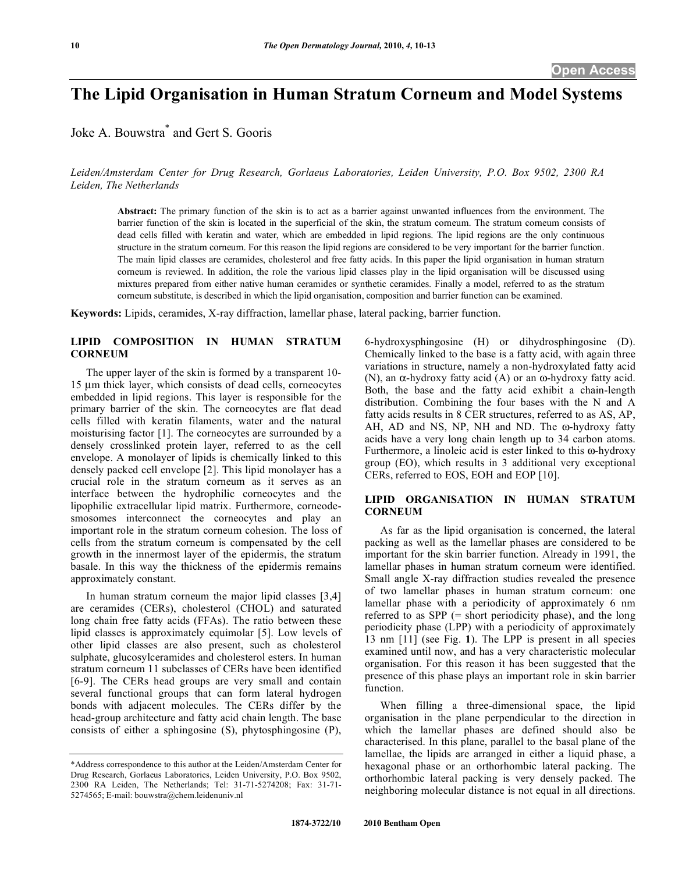# **The Lipid Organisation in Human Stratum Corneum and Model Systems**

Joke A. Bouwstra\* and Gert S. Gooris

*Leiden/Amsterdam Center for Drug Research, Gorlaeus Laboratories, Leiden University, P.O. Box 9502, 2300 RA Leiden, The Netherlands* 

**Abstract:** The primary function of the skin is to act as a barrier against unwanted influences from the environment. The barrier function of the skin is located in the superficial of the skin, the stratum corneum. The stratum corneum consists of dead cells filled with keratin and water, which are embedded in lipid regions. The lipid regions are the only continuous structure in the stratum corneum. For this reason the lipid regions are considered to be very important for the barrier function. The main lipid classes are ceramides, cholesterol and free fatty acids. In this paper the lipid organisation in human stratum corneum is reviewed. In addition, the role the various lipid classes play in the lipid organisation will be discussed using mixtures prepared from either native human ceramides or synthetic ceramides. Finally a model, referred to as the stratum corneum substitute, is described in which the lipid organisation, composition and barrier function can be examined.

**Keywords:** Lipids, ceramides, X-ray diffraction, lamellar phase, lateral packing, barrier function.

# **LIPID COMPOSITION IN HUMAN STRATUM CORNEUM**

 The upper layer of the skin is formed by a transparent 10- 15 μm thick layer, which consists of dead cells, corneocytes embedded in lipid regions. This layer is responsible for the primary barrier of the skin. The corneocytes are flat dead cells filled with keratin filaments, water and the natural moisturising factor [1]. The corneocytes are surrounded by a densely crosslinked protein layer, referred to as the cell envelope. A monolayer of lipids is chemically linked to this densely packed cell envelope [2]. This lipid monolayer has a crucial role in the stratum corneum as it serves as an interface between the hydrophilic corneocytes and the lipophilic extracellular lipid matrix. Furthermore, corneodesmosomes interconnect the corneocytes and play an important role in the stratum corneum cohesion. The loss of cells from the stratum corneum is compensated by the cell growth in the innermost layer of the epidermis, the stratum basale. In this way the thickness of the epidermis remains approximately constant.

 In human stratum corneum the major lipid classes [3,4] are ceramides (CERs), cholesterol (CHOL) and saturated long chain free fatty acids (FFAs). The ratio between these lipid classes is approximately equimolar [5]. Low levels of other lipid classes are also present, such as cholesterol sulphate, glucosylceramides and cholesterol esters. In human stratum corneum 11 subclasses of CERs have been identified [6-9]. The CERs head groups are very small and contain several functional groups that can form lateral hydrogen bonds with adjacent molecules. The CERs differ by the head-group architecture and fatty acid chain length. The base consists of either a sphingosine (S), phytosphingosine (P),

6-hydroxysphingosine (H) or dihydrosphingosine (D). Chemically linked to the base is a fatty acid, with again three variations in structure, namely a non-hydroxylated fatty acid (N), an  $\alpha$ -hydroxy fatty acid (A) or an  $\omega$ -hydroxy fatty acid. Both, the base and the fatty acid exhibit a chain-length distribution. Combining the four bases with the N and A fatty acids results in 8 CER structures, referred to as AS, AP, AH, AD and NS, NP, NH and ND. The  $\omega$ -hydroxy fatty acids have a very long chain length up to 34 carbon atoms. Furthermore, a linoleic acid is ester linked to this  $\omega$ -hydroxy group (EO), which results in 3 additional very exceptional CERs, referred to EOS, EOH and EOP [10].

# **LIPID ORGANISATION IN HUMAN STRATUM CORNEUM**

 As far as the lipid organisation is concerned, the lateral packing as well as the lamellar phases are considered to be important for the skin barrier function. Already in 1991, the lamellar phases in human stratum corneum were identified. Small angle X-ray diffraction studies revealed the presence of two lamellar phases in human stratum corneum: one lamellar phase with a periodicity of approximately 6 nm referred to as SPP (= short periodicity phase), and the long periodicity phase (LPP) with a periodicity of approximately 13 nm [11] (see Fig. **1**). The LPP is present in all species examined until now, and has a very characteristic molecular organisation. For this reason it has been suggested that the presence of this phase plays an important role in skin barrier function.

 When filling a three-dimensional space, the lipid organisation in the plane perpendicular to the direction in which the lamellar phases are defined should also be characterised. In this plane, parallel to the basal plane of the lamellae, the lipids are arranged in either a liquid phase, a hexagonal phase or an orthorhombic lateral packing. The orthorhombic lateral packing is very densely packed. The neighboring molecular distance is not equal in all directions.

<sup>\*</sup>Address correspondence to this author at the Leiden/Amsterdam Center for Drug Research, Gorlaeus Laboratories, Leiden University, P.O. Box 9502, 2300 RA Leiden, The Netherlands; Tel: 31-71-5274208; Fax: 31-71- 5274565; E-mail: bouwstra@chem.leidenuniv.nl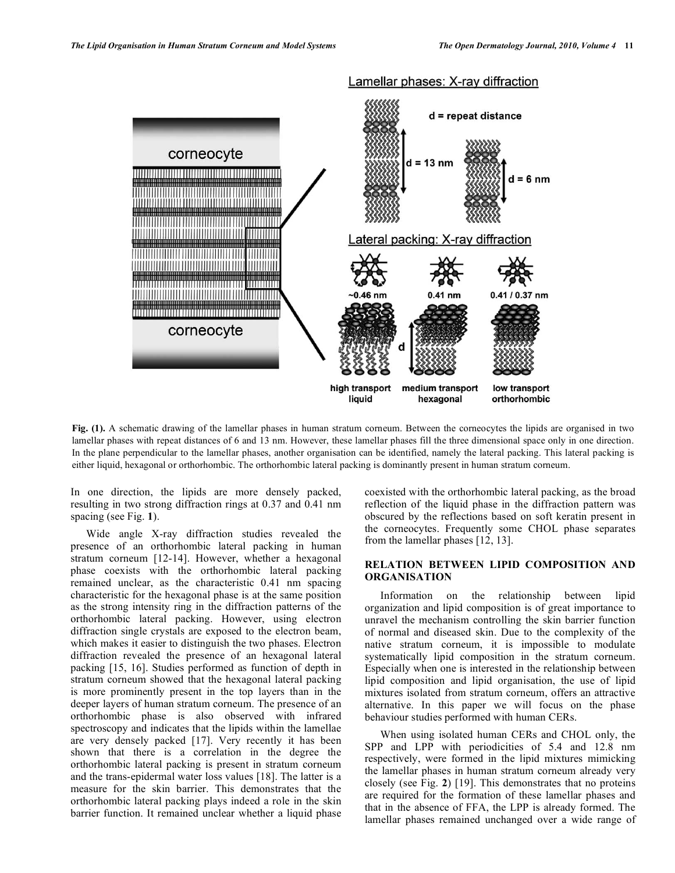

**Fig. (1).** A schematic drawing of the lamellar phases in human stratum corneum. Between the corneocytes the lipids are organised in two lamellar phases with repeat distances of 6 and 13 nm. However, these lamellar phases fill the three dimensional space only in one direction. In the plane perpendicular to the lamellar phases, another organisation can be identified, namely the lateral packing. This lateral packing is either liquid, hexagonal or orthorhombic. The orthorhombic lateral packing is dominantly present in human stratum corneum.

In one direction, the lipids are more densely packed, resulting in two strong diffraction rings at 0.37 and 0.41 nm spacing (see Fig. **1**).

 Wide angle X-ray diffraction studies revealed the presence of an orthorhombic lateral packing in human stratum corneum [12-14]. However, whether a hexagonal phase coexists with the orthorhombic lateral packing remained unclear, as the characteristic 0.41 nm spacing characteristic for the hexagonal phase is at the same position as the strong intensity ring in the diffraction patterns of the orthorhombic lateral packing. However, using electron diffraction single crystals are exposed to the electron beam, which makes it easier to distinguish the two phases. Electron diffraction revealed the presence of an hexagonal lateral packing [15, 16]. Studies performed as function of depth in stratum corneum showed that the hexagonal lateral packing is more prominently present in the top layers than in the deeper layers of human stratum corneum. The presence of an orthorhombic phase is also observed with infrared spectroscopy and indicates that the lipids within the lamellae are very densely packed [17]. Very recently it has been shown that there is a correlation in the degree the orthorhombic lateral packing is present in stratum corneum and the trans-epidermal water loss values [18]. The latter is a measure for the skin barrier. This demonstrates that the orthorhombic lateral packing plays indeed a role in the skin barrier function. It remained unclear whether a liquid phase

coexisted with the orthorhombic lateral packing, as the broad reflection of the liquid phase in the diffraction pattern was obscured by the reflections based on soft keratin present in the corneocytes. Frequently some CHOL phase separates from the lamellar phases [12, 13].

## **RELATION BETWEEN LIPID COMPOSITION AND ORGANISATION**

 Information on the relationship between lipid organization and lipid composition is of great importance to unravel the mechanism controlling the skin barrier function of normal and diseased skin. Due to the complexity of the native stratum corneum, it is impossible to modulate systematically lipid composition in the stratum corneum. Especially when one is interested in the relationship between lipid composition and lipid organisation, the use of lipid mixtures isolated from stratum corneum, offers an attractive alternative. In this paper we will focus on the phase behaviour studies performed with human CERs.

 When using isolated human CERs and CHOL only, the SPP and LPP with periodicities of 5.4 and 12.8 nm respectively, were formed in the lipid mixtures mimicking the lamellar phases in human stratum corneum already very closely (see Fig. **2**) [19]. This demonstrates that no proteins are required for the formation of these lamellar phases and that in the absence of FFA, the LPP is already formed. The lamellar phases remained unchanged over a wide range of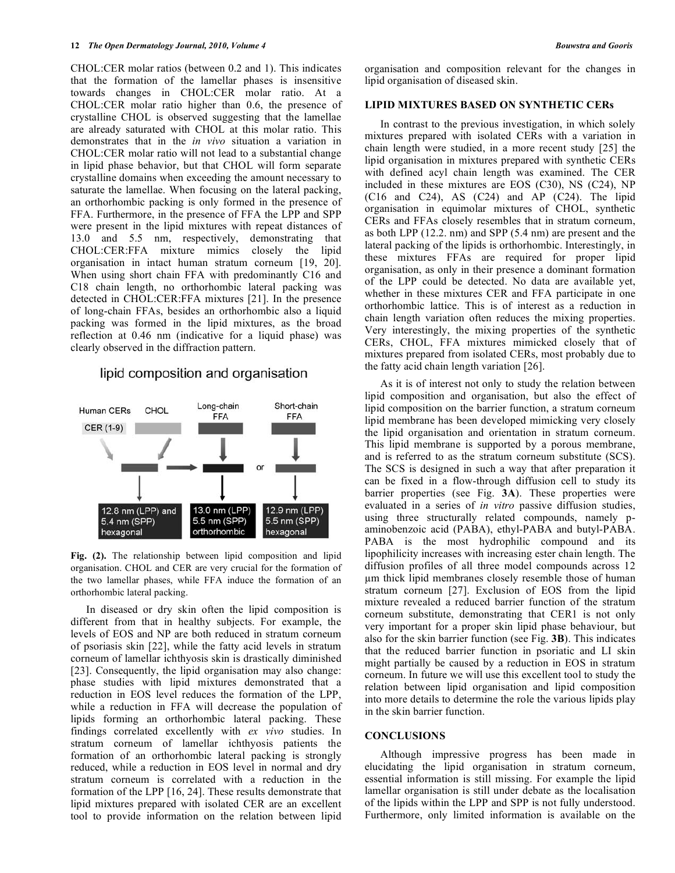CHOL:CER molar ratios (between 0.2 and 1). This indicates that the formation of the lamellar phases is insensitive towards changes in CHOL:CER molar ratio. At a CHOL:CER molar ratio higher than 0.6, the presence of crystalline CHOL is observed suggesting that the lamellae are already saturated with CHOL at this molar ratio. This demonstrates that in the *in vivo* situation a variation in CHOL:CER molar ratio will not lead to a substantial change in lipid phase behavior, but that CHOL will form separate crystalline domains when exceeding the amount necessary to saturate the lamellae. When focusing on the lateral packing, an orthorhombic packing is only formed in the presence of FFA. Furthermore, in the presence of FFA the LPP and SPP were present in the lipid mixtures with repeat distances of 13.0 and 5.5 nm, respectively, demonstrating that CHOL:CER:FFA mixture mimics closely the lipid organisation in intact human stratum corneum [19, 20]. When using short chain FFA with predominantly C16 and C18 chain length, no orthorhombic lateral packing was detected in CHOL:CER:FFA mixtures [21]. In the presence of long-chain FFAs, besides an orthorhombic also a liquid packing was formed in the lipid mixtures, as the broad reflection at 0.46 nm (indicative for a liquid phase) was clearly observed in the diffraction pattern.

# lipid composition and organisation



**Fig. (2).** The relationship between lipid composition and lipid organisation. CHOL and CER are very crucial for the formation of the two lamellar phases, while FFA induce the formation of an orthorhombic lateral packing.

 In diseased or dry skin often the lipid composition is different from that in healthy subjects. For example, the levels of EOS and NP are both reduced in stratum corneum of psoriasis skin [22], while the fatty acid levels in stratum corneum of lamellar ichthyosis skin is drastically diminished [23]. Consequently, the lipid organisation may also change: phase studies with lipid mixtures demonstrated that a reduction in EOS level reduces the formation of the LPP, while a reduction in FFA will decrease the population of lipids forming an orthorhombic lateral packing. These findings correlated excellently with *ex vivo* studies. In stratum corneum of lamellar ichthyosis patients the formation of an orthorhombic lateral packing is strongly reduced, while a reduction in EOS level in normal and dry stratum corneum is correlated with a reduction in the formation of the LPP [16, 24]. These results demonstrate that lipid mixtures prepared with isolated CER are an excellent tool to provide information on the relation between lipid organisation and composition relevant for the changes in lipid organisation of diseased skin.

#### **LIPID MIXTURES BASED ON SYNTHETIC CERs**

 In contrast to the previous investigation, in which solely mixtures prepared with isolated CERs with a variation in chain length were studied, in a more recent study [25] the lipid organisation in mixtures prepared with synthetic CERs with defined acyl chain length was examined. The CER included in these mixtures are EOS (C30), NS (C24), NP (C16 and C24), AS (C24) and AP (C24). The lipid organisation in equimolar mixtures of CHOL, synthetic CERs and FFAs closely resembles that in stratum corneum, as both LPP (12.2. nm) and SPP (5.4 nm) are present and the lateral packing of the lipids is orthorhombic. Interestingly, in these mixtures FFAs are required for proper lipid organisation, as only in their presence a dominant formation of the LPP could be detected. No data are available yet, whether in these mixtures CER and FFA participate in one orthorhombic lattice. This is of interest as a reduction in chain length variation often reduces the mixing properties. Very interestingly, the mixing properties of the synthetic CERs, CHOL, FFA mixtures mimicked closely that of mixtures prepared from isolated CERs, most probably due to the fatty acid chain length variation [26].

 As it is of interest not only to study the relation between lipid composition and organisation, but also the effect of lipid composition on the barrier function, a stratum corneum lipid membrane has been developed mimicking very closely the lipid organisation and orientation in stratum corneum. This lipid membrane is supported by a porous membrane, and is referred to as the stratum corneum substitute (SCS). The SCS is designed in such a way that after preparation it can be fixed in a flow-through diffusion cell to study its barrier properties (see Fig. **3A**). These properties were evaluated in a series of *in vitro* passive diffusion studies, using three structurally related compounds, namely paminobenzoic acid (PABA), ethyl-PABA and butyl-PABA. PABA is the most hydrophilic compound and its lipophilicity increases with increasing ester chain length. The diffusion profiles of all three model compounds across 12 m thick lipid membranes closely resemble those of human stratum corneum [27]. Exclusion of EOS from the lipid mixture revealed a reduced barrier function of the stratum corneum substitute, demonstrating that CER1 is not only very important for a proper skin lipid phase behaviour, but also for the skin barrier function (see Fig. **3B**). This indicates that the reduced barrier function in psoriatic and LI skin might partially be caused by a reduction in EOS in stratum corneum. In future we will use this excellent tool to study the relation between lipid organisation and lipid composition into more details to determine the role the various lipids play in the skin barrier function.

#### **CONCLUSIONS**

 Although impressive progress has been made in elucidating the lipid organisation in stratum corneum, essential information is still missing. For example the lipid lamellar organisation is still under debate as the localisation of the lipids within the LPP and SPP is not fully understood. Furthermore, only limited information is available on the